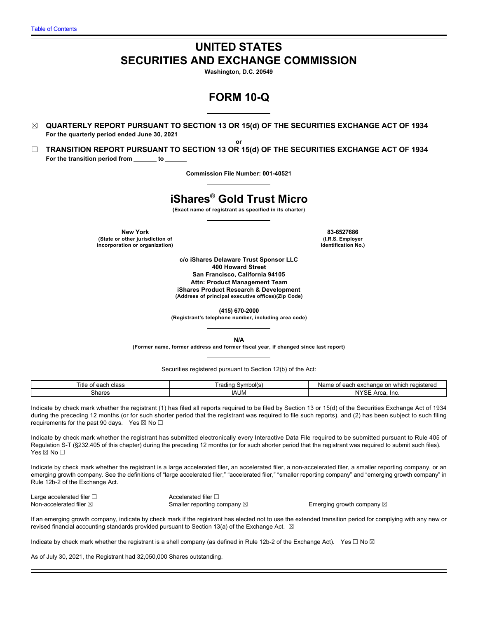# **UNITED STATES SECURITIES AND EXCHANGE COMMISSION**

**Washington, D.C. 20549**

# **FORM 10-Q**

- ☒ **QUARTERLY REPORT PURSUANT TO SECTION 13 OR 15(d) OF THE SECURITIES EXCHANGE ACT OF 1934 For the quarterly period ended June 30, 2021**
- **or** ☐ **TRANSITION REPORT PURSUANT TO SECTION 13 OR 15(d) OF THE SECURITIES EXCHANGE ACT OF 1934** For the transition period from \_\_\_\_\_\_ to \_

**Commission File Number: 001-40521**

# **iShares® Gold Trust Micro**

**(Exact name of registrant as specified in its charter)**

**New York 83-6527686 (State or other jurisdiction of incorporation or organization)**

**(I.R.S. Employer Identification No.)**

**c/o iShares Delaware Trust Sponsor LLC 400 Howard Street San Francisco, California 94105 Attn: Product Management Team iShares Product Research & Development (Address of principal executive offices)(Zip Code)**

**(415) 670-2000**

**(Registrant's telephone number, including area code)**

**N/A**

**(Former name, former address and former fiscal year, if changed since last report)**

Securities registered pursuant to Section 12(b) of the Act:

| Title<br>, Inco<br>$\sim$ $\sim$ $\sim$<br>ΩТ<br>ud 55<br>. | Svmbol(s<br>radinu | <b>rogictoro</b><br>or<br>exchange.<br>` whic.<br>Nai<br>$\sim$ $\sim$ $\sim$<br>usterec<br>cau<br>. |
|-------------------------------------------------------------|--------------------|------------------------------------------------------------------------------------------------------|
| Shares                                                      | <b>IAUM</b>        | N N C<br>-Inc<br>13 F<br>w<br>ור. י<br>ы.                                                            |

Indicate by check mark whether the registrant (1) has filed all reports required to be filed by Section 13 or 15(d) of the Securities Exchange Act of 1934 during the preceding 12 months (or for such shorter period that the registrant was required to file such reports), and (2) has been subject to such filing requirements for the past 90 days. Yes  $\boxtimes$  No $\Box$ 

Indicate by check mark whether the registrant has submitted electronically every Interactive Data File required to be submitted pursuant to Rule 405 of Regulation S-T (§232.405 of this chapter) during the preceding 12 months (or for such shorter period that the registrant was required to submit such files). Yes ⊠ No □

Indicate by check mark whether the registrant is a large accelerated filer, an accelerated filer, a non-accelerated filer, a smaller reporting company, or an emerging growth company. See the definitions of "large accelerated filer," "accelerated filer," "smaller reporting company" and "emerging growth company" in Rule 12b-2 of the Exchange Act.

| Large accelerated filer $\square$ | Accelerated filer $\Box$ |
|-----------------------------------|--------------------------|
| Non-accelerated filer $\boxtimes$ | Smaller reporting cor    |

 $\mathsf{map} \boxtimes \mathsf{B}$  and  $\mathsf{H}$  are  $\mathsf{H}$  emerging growth company  $\boxtimes$ 

If an emerging growth company, indicate by check mark if the registrant has elected not to use the extended transition period for complying with any new or revised financial accounting standards provided pursuant to Section 13(a) of the Exchange Act.  $\boxtimes$ 

Indicate by check mark whether the registrant is a shell company (as defined in Rule 12b-2 of the Exchange Act). Yes  $\Box$  No  $\boxtimes$ 

As of July 30, 2021, the Registrant had 32,050,000 Shares outstanding.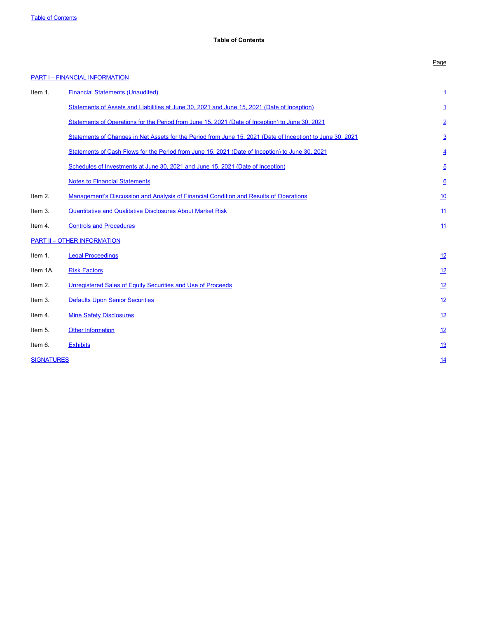# <span id="page-1-0"></span>**Table of Contents**

## Page

# [PART I – FINANCIAL INFORMATION](#page-2-0)

| Item 1.           | <b>Financial Statements (Unaudited)</b>                                                                    | 1               |
|-------------------|------------------------------------------------------------------------------------------------------------|-----------------|
|                   | Statements of Assets and Liabilities at June 30, 2021 and June 15, 2021 (Date of Inception)                | $\overline{1}$  |
|                   | Statements of Operations for the Period from June 15, 2021 (Date of Inception) to June 30, 2021            | $\overline{2}$  |
|                   | Statements of Changes in Net Assets for the Period from June 15, 2021 (Date of Inception) to June 30, 2021 | $\overline{3}$  |
|                   | Statements of Cash Flows for the Period from June 15, 2021 (Date of Inception) to June 30, 2021            | $\overline{4}$  |
|                   | Schedules of Investments at June 30, 2021 and June 15, 2021 (Date of Inception)                            | $\overline{5}$  |
|                   | <b>Notes to Financial Statements</b>                                                                       | $\underline{6}$ |
| Item 2.           | Management's Discussion and Analysis of Financial Condition and Results of Operations                      | 10              |
| Item 3.           | <b>Quantitative and Qualitative Disclosures About Market Risk</b>                                          | 11              |
| Item 4.           | <b>Controls and Procedures</b>                                                                             | 11              |
|                   | <b>PART II - OTHER INFORMATION</b>                                                                         |                 |
| Item 1.           | <b>Legal Proceedings</b>                                                                                   | 12              |
| Item 1A.          | <b>Risk Factors</b>                                                                                        | 12              |
| Item 2.           | Unregistered Sales of Equity Securities and Use of Proceeds                                                | 12              |
| Item 3.           | <b>Defaults Upon Senior Securities</b>                                                                     | 12              |
| Item 4.           | <b>Mine Safety Disclosures</b>                                                                             | 12              |
| Item 5.           | <b>Other Information</b>                                                                                   | 12              |
| Item 6.           | <b>Exhibits</b>                                                                                            | 13              |
| <b>SIGNATURES</b> |                                                                                                            | 14              |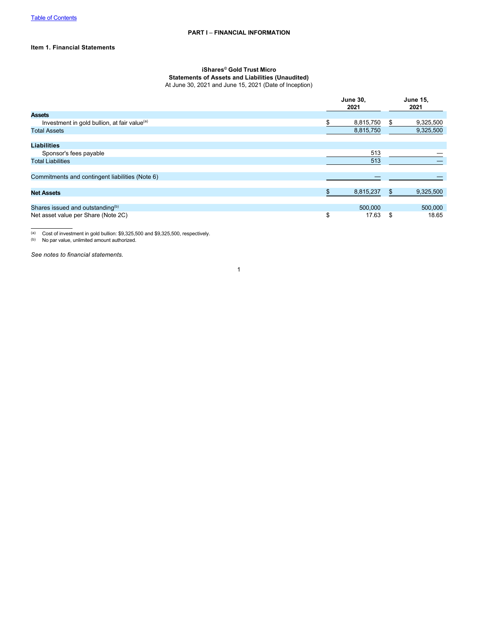# **Item 1. Financial Statements**

# <span id="page-2-0"></span>**iShares© Gold Trust Micro Statements of Assets and Liabilities (Unaudited)**

At June 30, 2021 and June 15, 2021 (Date of Inception)

|                                                          | <b>June 30,</b><br>2021 |    | <b>June 15,</b><br>2021 |
|----------------------------------------------------------|-------------------------|----|-------------------------|
| <b>Assets</b>                                            |                         |    |                         |
| Investment in gold bullion, at fair value <sup>(a)</sup> | \$<br>8,815,750         | S  | 9,325,500               |
| <b>Total Assets</b>                                      | 8,815,750               |    | 9,325,500               |
|                                                          |                         |    |                         |
| <b>Liabilities</b>                                       |                         |    |                         |
| Sponsor's fees payable                                   | 513                     |    |                         |
| <b>Total Liabilities</b>                                 | 513                     |    |                         |
|                                                          |                         |    |                         |
| Commitments and contingent liabilities (Note 6)          |                         |    |                         |
|                                                          |                         |    |                         |
| <b>Net Assets</b>                                        | \$<br>8,815,237         |    | 9,325,500               |
|                                                          |                         |    |                         |
| Shares issued and outstanding <sup>(b)</sup>             | 500,000                 |    | 500,000                 |
| Net asset value per Share (Note 2C)                      | \$<br>17.63             | \$ | 18.65                   |

 $(a)$  Cost of investment in gold bullion: \$9,325,500 and \$9,325,500, respectively.

(b) No par value, unlimited amount authorized.

*See notes to financial statements.*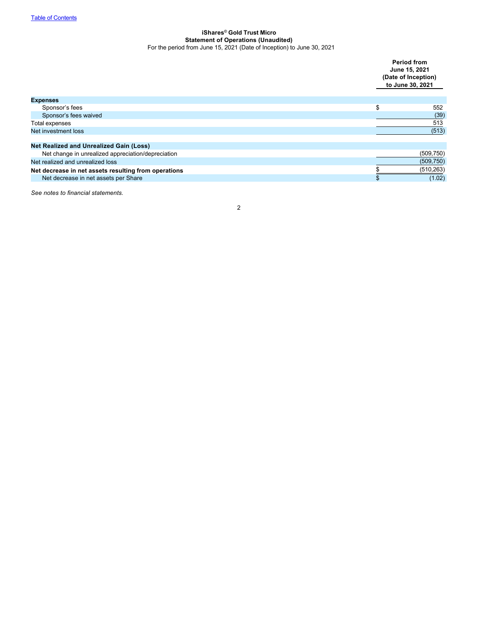#### <span id="page-3-0"></span>**iShares© Gold Trust Micro Statement of Operations (Unaudited)** For the period from June 15, 2021 (Date of Inception) to June 30, 2021

|                                                      | <b>Period from</b><br>June 15, 2021<br>(Date of Inception)<br>to June 30, 2021 |
|------------------------------------------------------|--------------------------------------------------------------------------------|
| <b>Expenses</b>                                      |                                                                                |
| Sponsor's fees                                       | \$<br>552                                                                      |
| Sponsor's fees waived                                | (39)                                                                           |
| Total expenses                                       | 513                                                                            |
| Net investment loss                                  | (513)                                                                          |
|                                                      |                                                                                |
| <b>Net Realized and Unrealized Gain (Loss)</b>       |                                                                                |
| Net change in unrealized appreciation/depreciation   | (509, 750)                                                                     |
| Net realized and unrealized loss                     | (509, 750)                                                                     |
| Net decrease in net assets resulting from operations | (510, 263)                                                                     |
| Net decrease in net assets per Share                 | (1.02)                                                                         |

*See notes to financial statements.*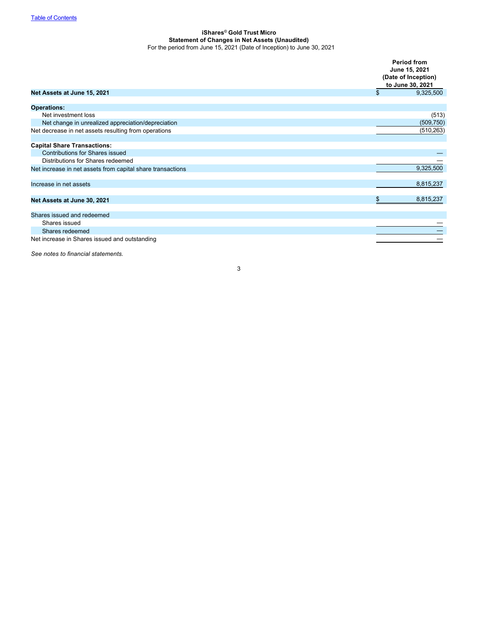#### <span id="page-4-0"></span>**iShares© Gold Trust Micro Statement of Changes in Net Assets (Unaudited)** For the period from June 15, 2021 (Date of Inception) to June 30, 2021

**Period from June 15, 2021 (Date of Inception) to June 30, 2021 Net Assets at June 15, 2021 but we have a set of the set of the set of the set of the set of the set of the set of the set of the set of the set of the set of the set of the set of the set of the set of the set of the s Operations:** Net investment loss (513) (613)<br>
Net change in unrealized appreciation/depreciation (and the control of the control of the control of the control of the control of the control of the control of the control of the control o Net change in unrealized appreciation/depreciation expression and the change of the change in unrealized appreciation/depreciation expression of the change of the change of the change of the change of the change of the cha Net decrease in net assets resulting from operations **Capital Share Transactions:** Contributions for Shares issued of the Unit of Shares redeemed and the transactions of the Unit of the Unit of the Unit of the Unit of the Unit<br>Distributions for Shares redeemed and the Unit of the Unit of the Unit of the Unit of the Unit of the Unit of Net increase in net assets from capital share transactions Increase in net assets 8,815,237 **Net Assets at June 30, 2021** \$ 8,815,237 Shares issued and redeemed Shares issued — Shares redeemed — Net increase in Shares issued and outstanding

*See notes to financial statements.*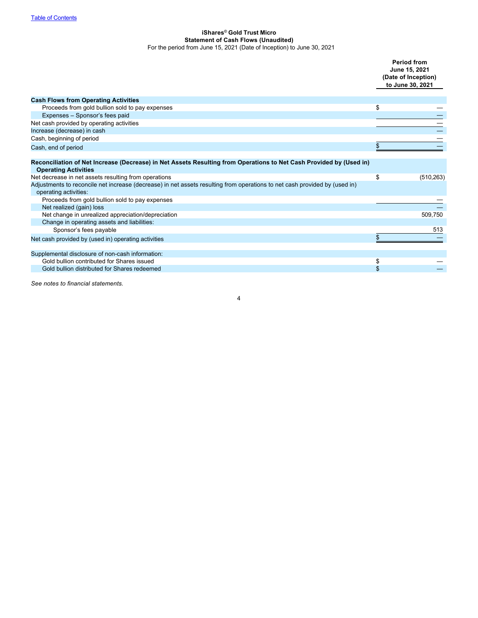#### <span id="page-5-0"></span>**iShares© Gold Trust Micro Statement of Cash Flows (Unaudited)** For the period from June 15, 2021 (Date of Inception) to June 30, 2021

**Period from June 15, 2021 (Date of Inception) to June 30, 2021 Cash Flows from Operating Activities** Proceeds from gold bullion sold to pay expenses **EXALL SECONDENT CONSUMING SECONDENT S**  $\$ Expenses – Sponsor's fees paid — Net cash provided by operating activities Increase (decrease) in cash — Cash, beginning of period — Cash, end of period  $\frac{\$}{\$}$ **Reconciliation of Net Increase (Decrease) in Net Assets Resulting from Operations to Net Cash Provided by (Used in) Operating Activities** Net decrease in net assets resulting from operations **by the contract of the contract of the contract of the contract of the contract of the contract of the contract of the contract of the contract of the contract of the c** Adjustments to reconcile net increase (decrease) in net assets resulting from operations to net cash provided by (used in) operating activities: Proceeds from gold bullion sold to pay expenses Net realized (gain) loss — Net change in unrealized appreciation/depreciation Change in operating assets and liabilities: Sponsor's fees payable 513 Net cash provided by (used in) operating activities  $\frac{8}{3}$ Supplemental disclosure of non-cash information: Gold bullion contributed for Shares issued \$  $\sim$  500  $\pm$  500  $\pm$  500  $\pm$  500  $\pm$  500  $\pm$  500  $\pm$  500  $\pm$  500  $\pm$  500  $\pm$  500  $\pm$  500  $\pm$  500  $\pm$  500  $\pm$  500  $\pm$  500  $\pm$  500  $\pm$  500  $\pm$  500  $\pm$  500  $\pm$  5 Gold bullion distributed for Shares redeemed

*See notes to financial statements.*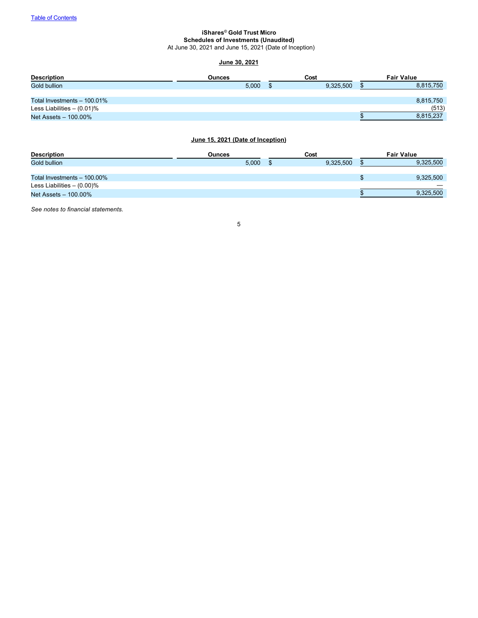## <span id="page-6-0"></span>**iShares© Gold Trust Micro Schedules of Investments (Unaudited)**

At June 30, 2021 and June 15, 2021 (Date of Inception)

## **June 30, 2021**

| <b>Description</b>            | Ounces |  | Cost      |  | <b>Fair Value</b> |
|-------------------------------|--------|--|-----------|--|-------------------|
| Gold bullion                  | 5,000  |  | 9.325.500 |  | 8,815,750         |
|                               |        |  |           |  |                   |
| Total Investments - 100.01%   |        |  |           |  | 8,815,750         |
| Less Liabilities $- (0.01)\%$ |        |  |           |  | (513)             |
| Net Assets - 100.00%          |        |  |           |  | 8,815,237         |
|                               |        |  |           |  |                   |

# **June 15, 2021 (Date of Inception)**

| <b>Description</b>            | Cost<br><b>Ounces</b> |  |           |  |           |  |  |  |  |  | <b>Fair Value</b> |  |
|-------------------------------|-----------------------|--|-----------|--|-----------|--|--|--|--|--|-------------------|--|
| Gold bullion                  | 5.000                 |  | 9.325.500 |  | 9,325,500 |  |  |  |  |  |                   |  |
|                               |                       |  |           |  |           |  |  |  |  |  |                   |  |
| Total Investments - 100.00%   |                       |  |           |  | 9,325,500 |  |  |  |  |  |                   |  |
| Less Liabilities $- (0.00)\%$ |                       |  |           |  | –         |  |  |  |  |  |                   |  |
| Net Assets - 100.00%          |                       |  |           |  | 9,325,500 |  |  |  |  |  |                   |  |
|                               |                       |  |           |  |           |  |  |  |  |  |                   |  |

*See notes to financial statements.*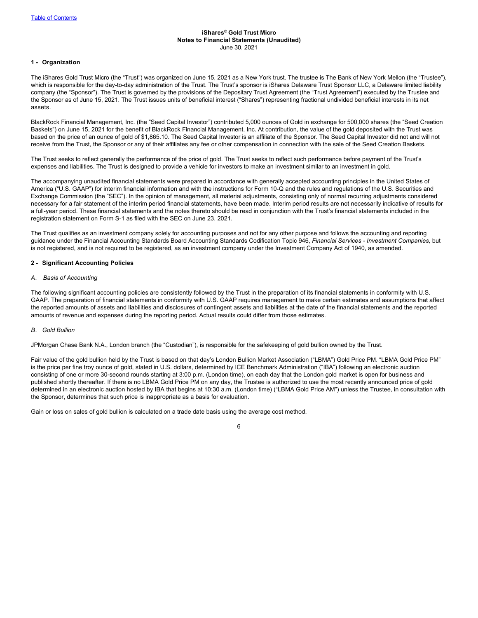#### <span id="page-7-0"></span>**iShares© Gold Trust Micro Notes to Financial Statements (Unaudited)** June 30, 2021

#### **1 - Organization**

The iShares Gold Trust Micro (the "Trust") was organized on June 15, 2021 as a New York trust. The trustee is The Bank of New York Mellon (the "Trustee"), which is responsible for the day-to-day administration of the Trust. The Trust's sponsor is iShares Delaware Trust Sponsor LLC, a Delaware limited liability company (the "Sponsor"). The Trust is governed by the provisions of the Depositary Trust Agreement (the "Trust Agreement") executed by the Trustee and the Sponsor as of June 15, 2021. The Trust issues units of beneficial interest ("Shares") representing fractional undivided beneficial interests in its net assets.

BlackRock Financial Management, Inc. (the "Seed Capital Investor") contributed 5,000 ounces of Gold in exchange for 500,000 shares (the "Seed Creation Baskets") on June 15, 2021 for the benefit of BlackRock Financial Management, Inc. At contribution, the value of the gold deposited with the Trust was based on the price of an ounce of gold of \$1,865.10. The Seed Capital Investor is an affiliate of the Sponsor. The Seed Capital Investor did not and will not receive from the Trust, the Sponsor or any of their affiliates any fee or other compensation in connection with the sale of the Seed Creation Baskets.

The Trust seeks to reflect generally the performance of the price of gold. The Trust seeks to reflect such performance before payment of the Trust's expenses and liabilities. The Trust is designed to provide a vehicle for investors to make an investment similar to an investment in gold.

The accompanying unaudited financial statements were prepared in accordance with generally accepted accounting principles in the United States of America ("U.S. GAAP") for interim financial information and with the instructions for Form 10-Q and the rules and regulations of the U.S. Securities and Exchange Commission (the "SEC"). In the opinion of management, all material adjustments, consisting only of normal recurring adjustments considered necessary for a fair statement of the interim period financial statements, have been made. Interim period results are not necessarily indicative of results for a full-year period. These financial statements and the notes thereto should be read in conjunction with the Trust's financial statements included in the registration statement on Form S-1 as filed with the SEC on June 23, 2021.

The Trust qualifies as an investment company solely for accounting purposes and not for any other purpose and follows the accounting and reporting guidance under the Financial Accounting Standards Board Accounting Standards Codification Topic 946, *Financial Services - Investment Companies,* but is not registered, and is not required to be registered, as an investment company under the Investment Company Act of 1940, as amended.

#### **2 - Significant Accounting Policies**

#### *A. Basis of Accounting*

The following significant accounting policies are consistently followed by the Trust in the preparation of its financial statements in conformity with U.S. GAAP. The preparation of financial statements in conformity with U.S. GAAP requires management to make certain estimates and assumptions that affect the reported amounts of assets and liabilities and disclosures of contingent assets and liabilities at the date of the financial statements and the reported amounts of revenue and expenses during the reporting period. Actual results could differ from those estimates.

#### *B. Gold Bullion*

JPMorgan Chase Bank N.A., London branch (the "Custodian"), is responsible for the safekeeping of gold bullion owned by the Trust.

Fair value of the gold bullion held by the Trust is based on that day's London Bullion Market Association ("LBMA") Gold Price PM. "LBMA Gold Price PM" is the price per fine troy ounce of gold, stated in U.S. dollars, determined by ICE Benchmark Administration ("IBA") following an electronic auction consisting of one or more 30-second rounds starting at 3:00 p.m. (London time), on each day that the London gold market is open for business and published shortly thereafter. If there is no LBMA Gold Price PM on any day, the Trustee is authorized to use the most recently announced price of gold determined in an electronic auction hosted by IBA that begins at 10:30 a.m. (London time) ("LBMA Gold Price AM") unless the Trustee, in consultation with the Sponsor, determines that such price is inappropriate as a basis for evaluation.

Gain or loss on sales of gold bullion is calculated on a trade date basis using the average cost method.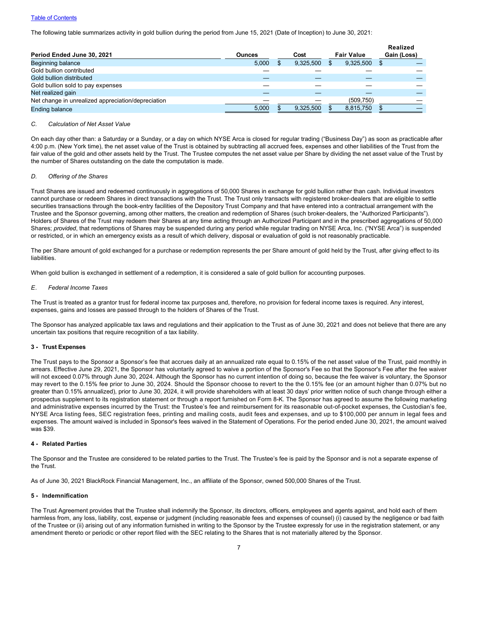#### **[Table of Contents](#page-1-0)**

The following table summarizes activity in gold bullion during the period from June 15, 2021 (Date of Inception) to June 30, 2021:

| Period Ended June 30, 2021                         | <b>Ounces</b> | Cost      | <b>Fair Value</b> |     | Realized<br>Gain (Loss) |
|----------------------------------------------------|---------------|-----------|-------------------|-----|-------------------------|
| Beginning balance                                  | 5,000         | 9.325.500 | 9,325,500         | \$. |                         |
| Gold bullion contributed                           |               |           |                   |     |                         |
| Gold bullion distributed                           |               |           |                   |     |                         |
| Gold bullion sold to pay expenses                  |               |           |                   |     |                         |
| Net realized gain                                  |               |           |                   |     |                         |
| Net change in unrealized appreciation/depreciation |               |           | (509, 750)        |     |                         |
| <b>Ending balance</b>                              | 5,000         | 9.325.500 | 8,815,750         |     |                         |

## *C. Calculation of Net Asset Value*

On each day other than: a Saturday or a Sunday, or a day on which NYSE Arca is closed for regular trading ("Business Day") as soon as practicable after 4:00 p.m. (New York time), the net asset value of the Trust is obtained by subtracting all accrued fees, expenses and other liabilities of the Trust from the fair value of the gold and other assets held by the Trust. The Trustee computes the net asset value per Share by dividing the net asset value of the Trust by the number of Shares outstanding on the date the computation is made.

#### *D. Offering of the Shares*

Trust Shares are issued and redeemed continuously in aggregations of 50,000 Shares in exchange for gold bullion rather than cash. Individual investors cannot purchase or redeem Shares in direct transactions with the Trust. The Trust only transacts with registered broker-dealers that are eligible to settle securities transactions through the book-entry facilities of the Depository Trust Company and that have entered into a contractual arrangement with the Trustee and the Sponsor governing, among other matters, the creation and redemption of Shares (such broker-dealers, the "Authorized Participants"). Holders of Shares of the Trust may redeem their Shares at any time acting through an Authorized Participant and in the prescribed aggregations of 50,000 Shares; *provided*, that redemptions of Shares may be suspended during any period while regular trading on NYSE Arca, Inc. ("NYSE Arca") is suspended or restricted, or in which an emergency exists as a result of which delivery, disposal or evaluation of gold is not reasonably practicable.

The per Share amount of gold exchanged for a purchase or redemption represents the per Share amount of gold held by the Trust, after giving effect to its liabilities.

When gold bullion is exchanged in settlement of a redemption, it is considered a sale of gold bullion for accounting purposes.

#### *E. Federal Income Taxes*

The Trust is treated as a grantor trust for federal income tax purposes and, therefore, no provision for federal income taxes is required. Any interest, expenses, gains and losses are passed through to the holders of Shares of the Trust.

The Sponsor has analyzed applicable tax laws and regulations and their application to the Trust as of June 30, 2021 and does not believe that there are any uncertain tax positions that require recognition of a tax liability.

#### **3 - Trust Expenses**

The Trust pays to the Sponsor a Sponsor's fee that accrues daily at an annualized rate equal to 0.15% of the net asset value of the Trust, paid monthly in arrears. Effective June 29, 2021, the Sponsor has voluntarily agreed to waive a portion of the Sponsor's Fee so that the Sponsor's Fee after the fee waiver will not exceed 0.07% through June 30, 2024. Although the Sponsor has no current intention of doing so, because the fee waiver is voluntary, the Sponsor may revert to the 0.15% fee prior to June 30, 2024. Should the Sponsor choose to revert to the the 0.15% fee (or an amount higher than 0.07% but no greater than 0.15% annualized), prior to June 30, 2024, it will provide shareholders with at least 30 days' prior written notice of such change through either a prospectus supplement to its registration statement or through a report furnished on Form 8-K. The Sponsor has agreed to assume the following marketing and administrative expenses incurred by the Trust: the Trustee's fee and reimbursement for its reasonable out-of-pocket expenses, the Custodian's fee, NYSE Arca listing fees, SEC registration fees, printing and mailing costs, audit fees and expenses, and up to \$100,000 per annum in legal fees and expenses. The amount waived is included in Sponsor's fees waived in the Statement of Operations. For the period ended June 30, 2021, the amount waived was \$39.

#### **4 - Related Parties**

The Sponsor and the Trustee are considered to be related parties to the Trust. The Trustee's fee is paid by the Sponsor and is not a separate expense of the Trust.

As of June 30, 2021 BlackRock Financial Management, Inc., an affiliate of the Sponsor, owned 500,000 Shares of the Trust.

#### **5 - Indemnification**

The Trust Agreement provides that the Trustee shall indemnify the Sponsor, its directors, officers, employees and agents against, and hold each of them harmless from, any loss, liability, cost, expense or judgment (including reasonable fees and expenses of counsel) (i) caused by the negligence or bad faith of the Trustee or (ii) arising out of any information furnished in writing to the Sponsor by the Trustee expressly for use in the registration statement, or any amendment thereto or periodic or other report filed with the SEC relating to the Shares that is not materially altered by the Sponsor.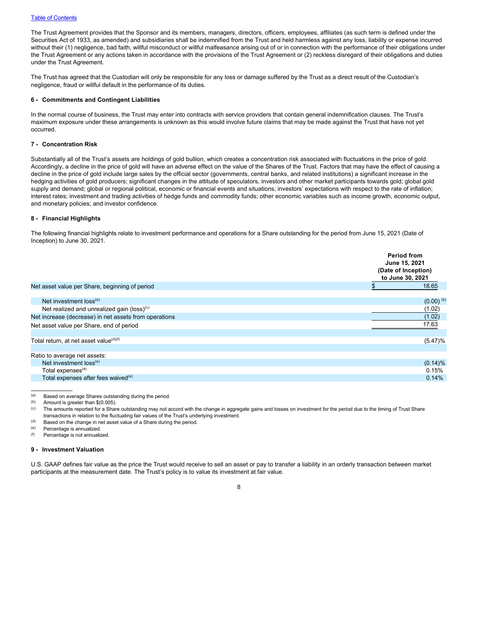The Trust Agreement provides that the Sponsor and its members, managers, directors, officers, employees, affiliates (as such term is defined under the Securities Act of 1933, as amended) and subsidiaries shall be indemnified from the Trust and held harmless against any loss, liability or expense incurred without their (1) negligence, bad faith, willful misconduct or willful malfeasance arising out of or in connection with the performance of their obligations under the Trust Agreement or any actions taken in accordance with the provisions of the Trust Agreement or (2) reckless disregard of their obligations and duties under the Trust Agreement.

The Trust has agreed that the Custodian will only be responsible for any loss or damage suffered by the Trust as a direct result of the Custodian's negligence, fraud or willful default in the performance of its duties.

#### **6 - Commitments and Contingent Liabilities**

In the normal course of business, the Trust may enter into contracts with service providers that contain general indemnification clauses. The Trust's maximum exposure under these arrangements is unknown as this would involve future claims that may be made against the Trust that have not yet occurred.

#### **7 - Concentration Risk**

Substantially all of the Trust's assets are holdings of gold bullion, which creates a concentration risk associated with fluctuations in the price of gold. Accordingly, a decline in the price of gold will have an adverse effect on the value of the Shares of the Trust. Factors that may have the effect of causing a decline in the price of gold include large sales by the official sector (governments, central banks, and related institutions) a significant increase in the hedging activities of gold producers; significant changes in the attitude of speculators, investors and other market participants towards gold; global gold supply and demand; global or regional political, economic or financial events and situations; investors' expectations with respect to the rate of inflation; interest rates; investment and trading activities of hedge funds and commodity funds; other economic variables such as income growth, economic output, and monetary policies; and investor confidence.

### **8 - Financial Highlights**

The following financial highlights relate to investment performance and operations for a Share outstanding for the period from June 15, 2021 (Date of Inception) to June 30, 2021.

|                                                        | <b>Period from</b><br>June 15, 2021<br>(Date of Inception)<br>to June 30, 2021 |                         |
|--------------------------------------------------------|--------------------------------------------------------------------------------|-------------------------|
| Net asset value per Share, beginning of period         |                                                                                | 18.65                   |
| Net investment loss <sup>(a)</sup>                     |                                                                                | $(0.00)$ <sup>(b)</sup> |
| Net realized and unrealized gain (loss) <sup>(c)</sup> |                                                                                | (1.02)                  |
| Net increase (decrease) in net assets from operations  |                                                                                | (1.02)                  |
| Net asset value per Share, end of period               |                                                                                | 17.63                   |
| Total return, at net asset value <sup>(d)(f)</sup>     |                                                                                | $(5.47)\%$              |
|                                                        |                                                                                |                         |
| Ratio to average net assets:                           |                                                                                |                         |
| Net investment loss <sup>(e)</sup>                     |                                                                                | $(0.14)$ %              |
| Total expenses <sup>(e)</sup>                          |                                                                                | 0.15%                   |
| Total expenses after fees waived <sup>(e)</sup>        |                                                                                | 0.14%                   |

(a) Based on average Shares outstanding during the period.<br>(b) Amount is greater than  $$0.005$ 

(d) Based on the change in net asset value of a Share during the period.<br>(e) Bercentage is annualized

(e) Percentage is annualized.<br> $(f)$  Percentage is not annualized.

Percentage is not annualized

#### **9 - Investment Valuation**

U.S. GAAP defines fair value as the price the Trust would receive to sell an asset or pay to transfer a liability in an orderly transaction between market participants at the measurement date. The Trust's policy is to value its investment at fair value.



Amount is greater than  $$(0.005)$ .

<sup>&</sup>lt;sup>(c)</sup> The amounts reported for a Share outstanding may not accord with the change in aggregate gains and losses on investment for the period due to the timing of Trust Share transactions in relation to the fluctuating fair values of the Trust's underlying investment.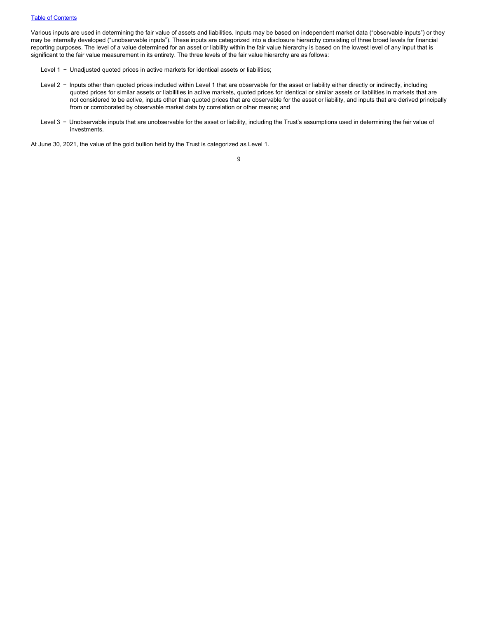Various inputs are used in determining the fair value of assets and liabilities. Inputs may be based on independent market data ("observable inputs") or they may be internally developed ("unobservable inputs"). These inputs are categorized into a disclosure hierarchy consisting of three broad levels for financial reporting purposes. The level of a value determined for an asset or liability within the fair value hierarchy is based on the lowest level of any input that is significant to the fair value measurement in its entirety. The three levels of the fair value hierarchy are as follows:

- Level 1  −  Unadjusted quoted prices in active markets for identical assets or liabilities;
- Level 2 − Inputs other than quoted prices included within Level 1 that are observable for the asset or liability either directly or indirectly, including quoted prices for similar assets or liabilities in active markets, quoted prices for identical or similar assets or liabilities in markets that are not considered to be active, inputs other than quoted prices that are observable for the asset or liability, and inputs that are derived principally from or corroborated by observable market data by correlation or other means; and
- Level 3 − Unobservable inputs that are unobservable for the asset or liability, including the Trust's assumptions used in determining the fair value of investments.
- At June 30, 2021, the value of the gold bullion held by the Trust is categorized as Level 1.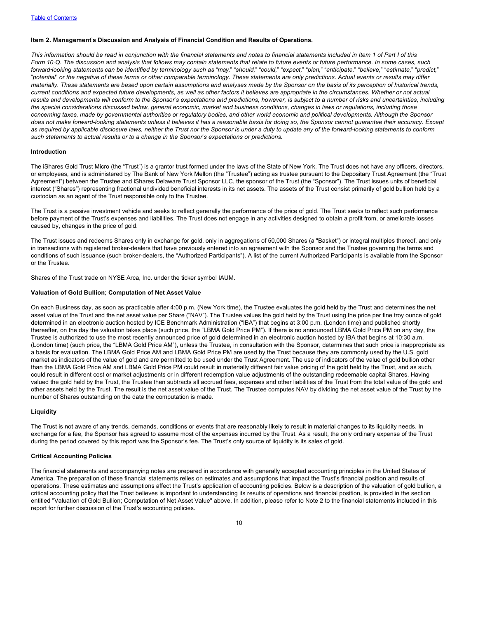#### <span id="page-11-0"></span>**Item 2. Management**'**s Discussion and Analysis of Financial Condition and Results of Operations.**

*This information should be read in conjunction with the financial statements and notes to financial statements included in Item 1 of Part I of this Form 10*‑*Q. The discussion and analysis that follows may contain statements that relate to future events or future performance. In some cases, such* forward-looking statements can be identified by terminology such as "may," "should," "could," "expect," "plan," "anticipate," "believe," "estimate," "predict," "*potential*" *or the negative of these terms or other comparable terminology. These statements are only predictions. Actual events or results may differ materially. These statements are based upon certain assumptions and analyses made by the Sponsor on the basis of its perception of historical trends, current conditions and expected future developments, as well as other factors it believes are appropriate in the circumstances. Whether or not actual results and developments will conform to the Sponsor*'*s expectations and predictions, however, is subject to a number of risks and uncertainties, including the special considerations discussed below, general economic, market and business conditions, changes in laws or regulations, including those concerning taxes, made by governmental authorities or regulatory bodies, and other world economic and political developments. Although the Sponsor does not make forward-looking statements unless it believes it has a reasonable basis for doing so, the Sponsor cannot guarantee their accuracy. Except as required by applicable disclosure laws, neither the Trust nor the Sponsor is under a duty to update any of the forward-looking statements to conform such statements to actual results or to a change in the Sponsor*'*s expectations or predictions.*

#### **Introduction**

The iShares Gold Trust Micro (the "Trust") is a grantor trust formed under the laws of the State of New York. The Trust does not have any officers, directors, or employees, and is administered by The Bank of New York Mellon (the "Trustee") acting as trustee pursuant to the Depositary Trust Agreement (the "Trust Agreement") between the Trustee and iShares Delaware Trust Sponsor LLC, the sponsor of the Trust (the "Sponsor"). The Trust issues units of beneficial interest ("Shares") representing fractional undivided beneficial interests in its net assets. The assets of the Trust consist primarily of gold bullion held by a custodian as an agent of the Trust responsible only to the Trustee.

The Trust is a passive investment vehicle and seeks to reflect generally the performance of the price of gold. The Trust seeks to reflect such performance before payment of the Trust's expenses and liabilities. The Trust does not engage in any activities designed to obtain a profit from, or ameliorate losses caused by, changes in the price of gold.

The Trust issues and redeems Shares only in exchange for gold, only in aggregations of 50,000 Shares (a "Basket") or integral multiples thereof, and only in transactions with registered broker-dealers that have previously entered into an agreement with the Sponsor and the Trustee governing the terms and conditions of such issuance (such broker-dealers, the "Authorized Participants"). A list of the current Authorized Participants is available from the Sponsor or the Trustee.

Shares of the Trust trade on NYSE Arca, Inc. under the ticker symbol IAUM.

#### **Valuation of Gold Bullion**; **Computation of Net Asset Value**

On each Business day, as soon as practicable after 4:00 p.m. (New York time), the Trustee evaluates the gold held by the Trust and determines the net asset value of the Trust and the net asset value per Share ("NAV"). The Trustee values the gold held by the Trust using the price per fine troy ounce of gold determined in an electronic auction hosted by ICE Benchmark Administration ("IBA") that begins at 3:00 p.m. (London time) and published shortly thereafter, on the day the valuation takes place (such price, the "LBMA Gold Price PM"). If there is no announced LBMA Gold Price PM on any day, the Trustee is authorized to use the most recently announced price of gold determined in an electronic auction hosted by IBA that begins at 10:30 a.m. (London time) (such price, the "LBMA Gold Price AM"), unless the Trustee, in consultation with the Sponsor, determines that such price is inappropriate as a basis for evaluation. The LBMA Gold Price AM and LBMA Gold Price PM are used by the Trust because they are commonly used by the U.S. gold market as indicators of the value of gold and are permitted to be used under the Trust Agreement. The use of indicators of the value of gold bullion other than the LBMA Gold Price AM and LBMA Gold Price PM could result in materially different fair value pricing of the gold held by the Trust, and as such, could result in different cost or market adjustments or in different redemption value adjustments of the outstanding redeemable capital Shares. Having valued the gold held by the Trust, the Trustee then subtracts all accrued fees, expenses and other liabilities of the Trust from the total value of the gold and other assets held by the Trust. The result is the net asset value of the Trust. The Trustee computes NAV by dividing the net asset value of the Trust by the number of Shares outstanding on the date the computation is made.

#### **Liquidity**

The Trust is not aware of any trends, demands, conditions or events that are reasonably likely to result in material changes to its liquidity needs. In exchange for a fee, the Sponsor has agreed to assume most of the expenses incurred by the Trust. As a result, the only ordinary expense of the Trust during the period covered by this report was the Sponsor's fee. The Trust's only source of liquidity is its sales of gold.

#### **Critical Accounting Policies**

The financial statements and accompanying notes are prepared in accordance with generally accepted accounting principles in the United States of America. The preparation of these financial statements relies on estimates and assumptions that impact the Trust's financial position and results of operations. These estimates and assumptions affect the Trust's application of accounting policies. Below is a description of the valuation of gold bullion, a critical accounting policy that the Trust believes is important to understanding its results of operations and financial position, is provided in the section entitled "Valuation of Gold Bullion; Computation of Net Asset Value" above. In addition, please refer to Note 2 to the financial statements included in this report for further discussion of the Trust's accounting policies.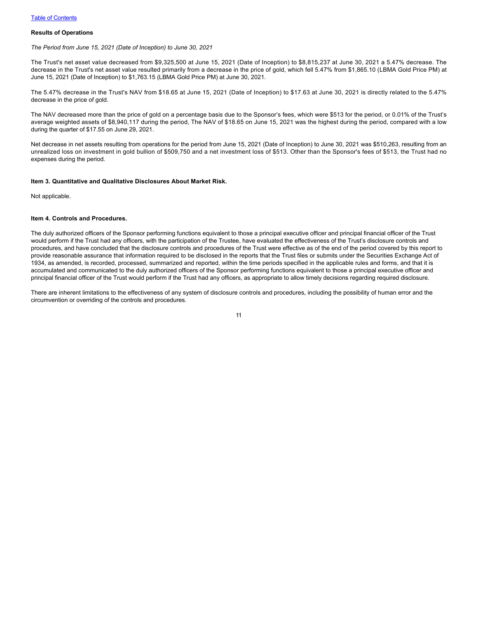#### **Results of Operations**

*The Period from June 15, 2021 (Date of Inception) to June 30, 2021*

The Trust's net asset value decreased from \$9,325,500 at June 15, 2021 (Date of Inception) to \$8,815,237 at June 30, 2021 a 5.47% decrease. The decrease in the Trust's net asset value resulted primarily from a decrease in the price of gold, which fell 5.47% from \$1,865.10 (LBMA Gold Price PM) at June 15, 2021 (Date of Inception) to \$1,763.15 (LBMA Gold Price PM) at June 30, 2021.

The 5.47% decrease in the Trust's NAV from \$18.65 at June 15, 2021 (Date of Inception) to \$17.63 at June 30, 2021 is directly related to the 5.47% decrease in the price of gold.

The NAV decreased more than the price of gold on a percentage basis due to the Sponsor's fees, which were \$513 for the period, or 0.01% of the Trust's average weighted assets of \$8,940,117 during the period, The NAV of \$18.65 on June 15, 2021 was the highest during the period, compared with a low during the quarter of \$17.55 on June 29, 2021.

Net decrease in net assets resulting from operations for the period from June 15, 2021 (Date of Inception) to June 30, 2021 was \$510,263, resulting from an unrealized loss on investment in gold bullion of \$509,750 and a net investment loss of \$513. Other than the Sponsor's fees of \$513, the Trust had no expenses during the period.

#### <span id="page-12-0"></span>**Item 3. Quantitative and Qualitative Disclosures About Market Risk.**

Not applicable.

#### <span id="page-12-1"></span>**Item 4. Controls and Procedures.**

The duly authorized officers of the Sponsor performing functions equivalent to those a principal executive officer and principal financial officer of the Trust would perform if the Trust had any officers, with the participation of the Trustee, have evaluated the effectiveness of the Trust's disclosure controls and procedures, and have concluded that the disclosure controls and procedures of the Trust were effective as of the end of the period covered by this report to provide reasonable assurance that information required to be disclosed in the reports that the Trust files or submits under the Securities Exchange Act of 1934, as amended, is recorded, processed, summarized and reported, within the time periods specified in the applicable rules and forms, and that it is accumulated and communicated to the duly authorized officers of the Sponsor performing functions equivalent to those a principal executive officer and principal financial officer of the Trust would perform if the Trust had any officers, as appropriate to allow timely decisions regarding required disclosure.

There are inherent limitations to the effectiveness of any system of disclosure controls and procedures, including the possibility of human error and the circumvention or overriding of the controls and procedures.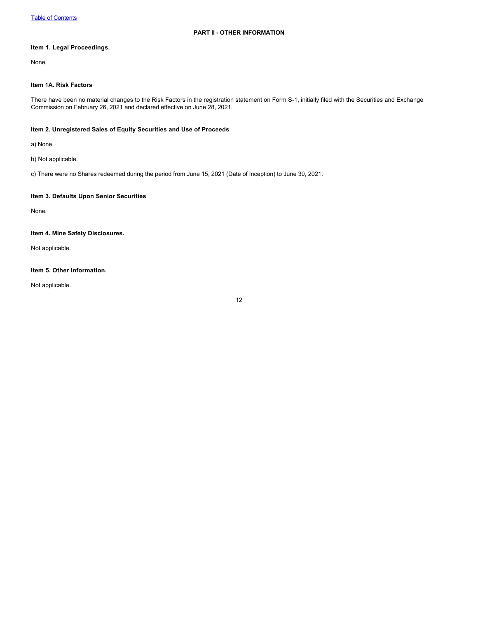## <span id="page-13-1"></span><span id="page-13-0"></span>**Item 1. Legal Proceedings.**

None.

## <span id="page-13-2"></span>**Item 1A. Risk Factors**

There have been no material changes to the Risk Factors in the registration statement on Form S-1, initially filed with the Securities and Exchange Commission on February 26, 2021 and declared effective on June 28, 2021.

## <span id="page-13-3"></span>**Item 2. Unregistered Sales of Equity Securities and Use of Proceeds**

a) None.

b) Not applicable.

c) There were no Shares redeemed during the period from June 15, 2021 (Date of Inception) to June 30, 2021.

## <span id="page-13-4"></span>**Item 3. Defaults Upon Senior Securities**

None.

### <span id="page-13-5"></span>**Item 4. Mine Safety Disclosures.**

Not applicable.

## <span id="page-13-6"></span>**Item 5. Other Information.**

Not applicable.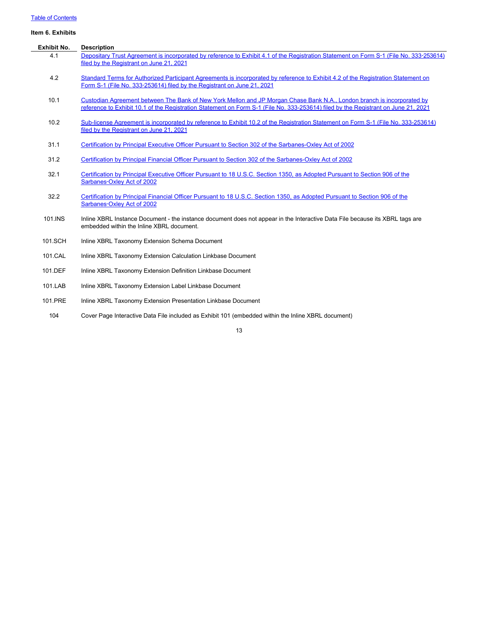# [Table of Contents](#page-1-0)

#### <span id="page-14-0"></span>**Item 6. Exhibits**

| <b>Exhibit No.</b> | <b>Description</b>                                                                                                                     |
|--------------------|----------------------------------------------------------------------------------------------------------------------------------------|
| 4.1                | Depositary Trust Agreement is incorporated by reference to Exhibit 4.1 of the Registration Statement on Form S-1 (File No. 333-253614) |
|                    | filed by the Registrant on June 21, 2021                                                                                               |
| 4.2                | Standard Terms for Authorized Participant Agreements is incorporated by reference to Exhibit 4.2 of the Registration Statement on      |
|                    | Form S-1 (File No. 333-253614) filed by the Registrant on June 21, 2021                                                                |
| 10.1               | Custodian Agreement between The Bank of New York Mellon and JP Morgan Chase Bank N.A., London branch is incorporated by                |
|                    | reference to Exhibit 10.1 of the Registration Statement on Form S-1 (File No. 333-253614) filed by the Registrant on June 21, 2021     |
| 10.2               | Sub-license Agreement is incorporated by reference to Exhibit 10.2 of the Registration Statement on Form S-1 (File No. 333-253614)     |
|                    | filed by the Registrant on June 21, 2021                                                                                               |
| 31.1               | Certification by Principal Executive Officer Pursuant to Section 302 of the Sarbanes-Oxley Act of 2002                                 |
|                    |                                                                                                                                        |
| 31.2               | Certification by Principal Financial Officer Pursuant to Section 302 of the Sarbanes-Oxley Act of 2002                                 |
| 32.1               | Certification by Principal Executive Officer Pursuant to 18 U.S.C. Section 1350, as Adopted Pursuant to Section 906 of the             |
|                    | Sarbanes-Oxley Act of 2002                                                                                                             |
| 32.2               | Certification by Principal Financial Officer Pursuant to 18 U.S.C. Section 1350, as Adopted Pursuant to Section 906 of the             |
|                    | Sarbanes-Oxley Act of 2002                                                                                                             |
| 101.INS            | Inline XBRL Instance Document - the instance document does not appear in the Interactive Data File because its XBRL tags are           |
|                    | embedded within the Inline XBRL document.                                                                                              |
| 101.SCH            | Inline XBRL Taxonomy Extension Schema Document                                                                                         |
| 101.CAL            | Inline XBRL Taxonomy Extension Calculation Linkbase Document                                                                           |
|                    |                                                                                                                                        |
| 101.DEF            | Inline XBRL Taxonomy Extension Definition Linkbase Document                                                                            |
| 101.LAB            | Inline XBRL Taxonomy Extension Label Linkbase Document                                                                                 |
|                    |                                                                                                                                        |
| 101.PRE            | Inline XBRL Taxonomy Extension Presentation Linkbase Document                                                                          |

104 Cover Page Interactive Data File included as Exhibit 101 (embedded within the Inline XBRL document)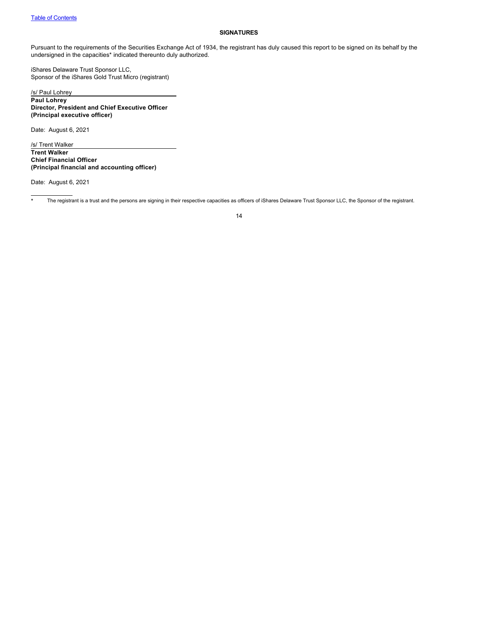#### <span id="page-15-0"></span>**SIGNATURES**

Pursuant to the requirements of the Securities Exchange Act of 1934, the registrant has duly caused this report to be signed on its behalf by the undersigned in the capacities\* indicated thereunto duly authorized.

iShares Delaware Trust Sponsor LLC, Sponsor of the iShares Gold Trust Micro (registrant)

/s/ Paul Lohrey **Paul Lohrey Director, President and Chief Executive Officer (Principal executive officer)**

Date: August 6, 2021

/s/ Trent Walker **Trent Walker Chief Financial Officer (Principal financial and accounting officer)**

Date: August 6, 2021

\* The registrant is a trust and the persons are signing in their respective capacities as officers of iShares Delaware Trust Sponsor LLC, the Sponsor of the registrant.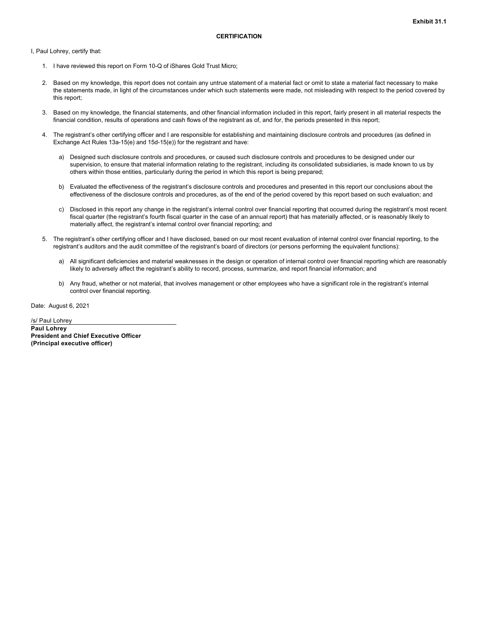<span id="page-16-0"></span>I, Paul Lohrey, certify that:

- 1. I have reviewed this report on Form 10-Q of iShares Gold Trust Micro;
- 2. Based on my knowledge, this report does not contain any untrue statement of a material fact or omit to state a material fact necessary to make the statements made, in light of the circumstances under which such statements were made, not misleading with respect to the period covered by this report;
- 3. Based on my knowledge, the financial statements, and other financial information included in this report, fairly present in all material respects the financial condition, results of operations and cash flows of the registrant as of, and for, the periods presented in this report;
- 4. The registrant's other certifying officer and I are responsible for establishing and maintaining disclosure controls and procedures (as defined in Exchange Act Rules 13a-15(e) and 15d-15(e)) for the registrant and have:
	- a) Designed such disclosure controls and procedures, or caused such disclosure controls and procedures to be designed under our supervision, to ensure that material information relating to the registrant, including its consolidated subsidiaries, is made known to us by others within those entities, particularly during the period in which this report is being prepared;
	- b) Evaluated the effectiveness of the registrant's disclosure controls and procedures and presented in this report our conclusions about the effectiveness of the disclosure controls and procedures, as of the end of the period covered by this report based on such evaluation; and
	- c) Disclosed in this report any change in the registrant's internal control over financial reporting that occurred during the registrant's most recent fiscal quarter (the registrant's fourth fiscal quarter in the case of an annual report) that has materially affected, or is reasonably likely to materially affect, the registrant's internal control over financial reporting; and
- 5. The registrant's other certifying officer and I have disclosed, based on our most recent evaluation of internal control over financial reporting, to the registrant's auditors and the audit committee of the registrant's board of directors (or persons performing the equivalent functions):
	- a) All significant deficiencies and material weaknesses in the design or operation of internal control over financial reporting which are reasonably likely to adversely affect the registrant's ability to record, process, summarize, and report financial information; and
	- b) Any fraud, whether or not material, that involves management or other employees who have a significant role in the registrant's internal control over financial reporting.

Date: August 6, 2021

/s/ Paul Lohrey **Paul Lohrey President and Chief Executive Officer (Principal executive officer)**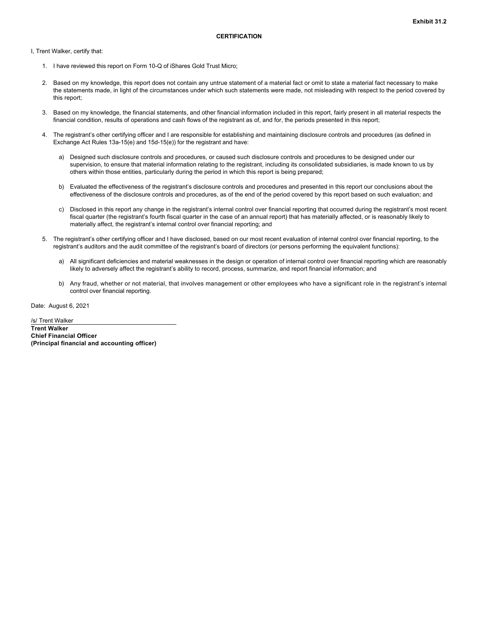<span id="page-17-0"></span>I, Trent Walker, certify that:

- 1. I have reviewed this report on Form 10-Q of iShares Gold Trust Micro;
- 2. Based on my knowledge, this report does not contain any untrue statement of a material fact or omit to state a material fact necessary to make the statements made, in light of the circumstances under which such statements were made, not misleading with respect to the period covered by this report;
- 3. Based on my knowledge, the financial statements, and other financial information included in this report, fairly present in all material respects the financial condition, results of operations and cash flows of the registrant as of, and for, the periods presented in this report;
- 4. The registrant's other certifying officer and I are responsible for establishing and maintaining disclosure controls and procedures (as defined in Exchange Act Rules 13a-15(e) and 15d-15(e)) for the registrant and have:
	- a) Designed such disclosure controls and procedures, or caused such disclosure controls and procedures to be designed under our supervision, to ensure that material information relating to the registrant, including its consolidated subsidiaries, is made known to us by others within those entities, particularly during the period in which this report is being prepared;
	- b) Evaluated the effectiveness of the registrant's disclosure controls and procedures and presented in this report our conclusions about the effectiveness of the disclosure controls and procedures, as of the end of the period covered by this report based on such evaluation; and
	- c) Disclosed in this report any change in the registrant's internal control over financial reporting that occurred during the registrant's most recent fiscal quarter (the registrant's fourth fiscal quarter in the case of an annual report) that has materially affected, or is reasonably likely to materially affect, the registrant's internal control over financial reporting; and
- 5. The registrant's other certifying officer and I have disclosed, based on our most recent evaluation of internal control over financial reporting, to the registrant's auditors and the audit committee of the registrant's board of directors (or persons performing the equivalent functions):
	- a) All significant deficiencies and material weaknesses in the design or operation of internal control over financial reporting which are reasonably likely to adversely affect the registrant's ability to record, process, summarize, and report financial information; and
	- b) Any fraud, whether or not material, that involves management or other employees who have a significant role in the registrant's internal control over financial reporting.

Date: August 6, 2021

/s/ Trent Walker **Trent Walker Chief Financial Officer (Principal financial and accounting officer)**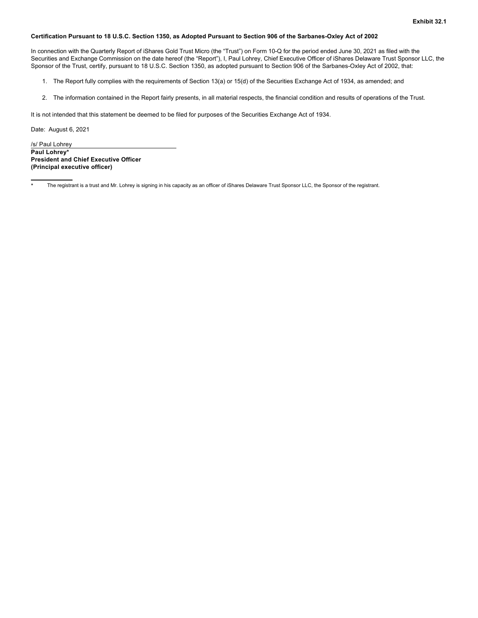#### <span id="page-18-0"></span>**Certification Pursuant to 18 U.S.C. Section 1350, as Adopted Pursuant to Section 906 of the Sarbanes-Oxley Act of 2002**

In connection with the Quarterly Report of iShares Gold Trust Micro (the "Trust") on Form 10-Q for the period ended June 30, 2021 as filed with the Securities and Exchange Commission on the date hereof (the "Report"), I, Paul Lohrey, Chief Executive Officer of iShares Delaware Trust Sponsor LLC, the Sponsor of the Trust, certify, pursuant to 18 U.S.C. Section 1350, as adopted pursuant to Section 906 of the Sarbanes-Oxley Act of 2002, that:

- 1. The Report fully complies with the requirements of Section 13(a) or 15(d) of the Securities Exchange Act of 1934, as amended; and
- 2. The information contained in the Report fairly presents, in all material respects, the financial condition and results of operations of the Trust.

It is not intended that this statement be deemed to be filed for purposes of the Securities Exchange Act of 1934.

Date: August 6, 2021

/s/ Paul Lohrey **Paul Lohrey\* President and Chief Executive Officer (Principal executive officer)**

The registrant is a trust and Mr. Lohrey is signing in his capacity as an officer of iShares Delaware Trust Sponsor LLC, the Sponsor of the registrant.